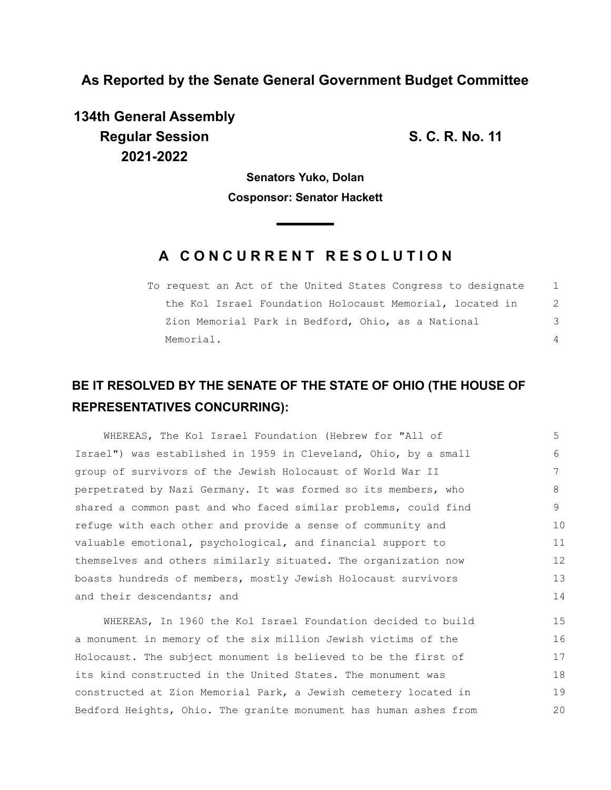**As Reported by the Senate General Government Budget Committee**

**134th General Assembly Regular Session S. C. R. No. 11 2021-2022**

**Senators Yuko, Dolan Cosponsor: Senator Hackett**

## **A C O N C U R R E N T R E S O L U T I O N**

To request an Act of the United States Congress to designate the Kol Israel Foundation Holocaust Memorial, located in Zion Memorial Park in Bedford, Ohio, as a National Memorial. 1 2 3 4

## **BE IT RESOLVED BY THE SENATE OF THE STATE OF OHIO (THE HOUSE OF REPRESENTATIVES CONCURRING):**

| WHEREAS, The Kol Israel Foundation (Hebrew for "All of          | 5  |
|-----------------------------------------------------------------|----|
| Israel") was established in 1959 in Cleveland, Ohio, by a small | 6  |
| group of survivors of the Jewish Holocaust of World War II      |    |
| perpetrated by Nazi Germany. It was formed so its members, who  | 8  |
| shared a common past and who faced similar problems, could find | 9  |
| refuge with each other and provide a sense of community and     | 10 |
| valuable emotional, psychological, and financial support to     | 11 |
| themselves and others similarly situated. The organization now  | 12 |
| boasts hundreds of members, mostly Jewish Holocaust survivors   | 13 |
| and their descendants; and                                      | 14 |
|                                                                 |    |

WHEREAS, In 1960 the Kol Israel Foundation decided to build a monument in memory of the six million Jewish victims of the Holocaust. The subject monument is believed to be the first of its kind constructed in the United States. The monument was constructed at Zion Memorial Park, a Jewish cemetery located in Bedford Heights, Ohio. The granite monument has human ashes from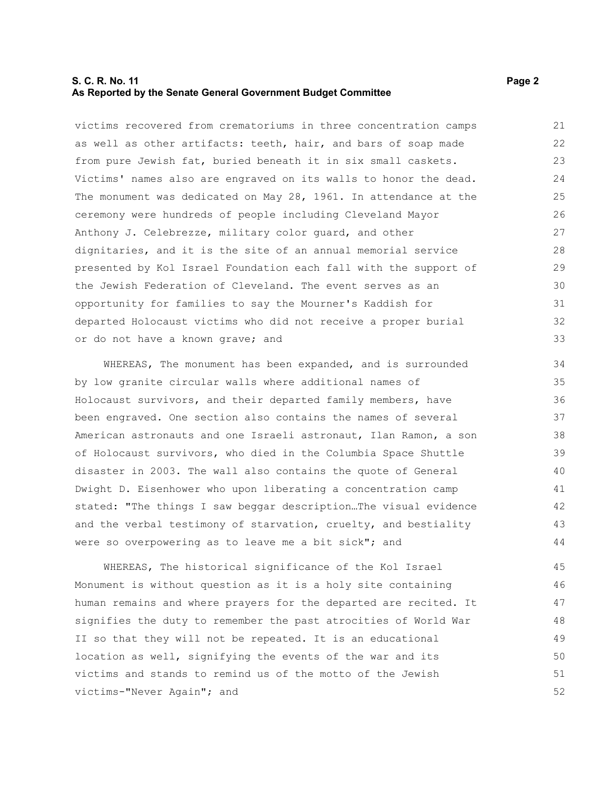## **S. C. R. No. 11** Page 2 **As Reported by the Senate General Government Budget Committee**

victims recovered from crematoriums in three concentration camps as well as other artifacts: teeth, hair, and bars of soap made from pure Jewish fat, buried beneath it in six small caskets. Victims' names also are engraved on its walls to honor the dead. The monument was dedicated on May 28, 1961. In attendance at the ceremony were hundreds of people including Cleveland Mayor Anthony J. Celebrezze, military color guard, and other dignitaries, and it is the site of an annual memorial service presented by Kol Israel Foundation each fall with the support of the Jewish Federation of Cleveland. The event serves as an opportunity for families to say the Mourner's Kaddish for departed Holocaust victims who did not receive a proper burial or do not have a known grave; and 21 22 23 24 25 26 27 28 29 30 31 32 33

WHEREAS, The monument has been expanded, and is surrounded by low granite circular walls where additional names of Holocaust survivors, and their departed family members, have been engraved. One section also contains the names of several American astronauts and one Israeli astronaut, Ilan Ramon, a son of Holocaust survivors, who died in the Columbia Space Shuttle disaster in 2003. The wall also contains the quote of General Dwight D. Eisenhower who upon liberating a concentration camp stated: "The things I saw beggar description…The visual evidence and the verbal testimony of starvation, cruelty, and bestiality were so overpowering as to leave me a bit sick"; and

WHEREAS, The historical significance of the Kol Israel Monument is without question as it is a holy site containing human remains and where prayers for the departed are recited. It signifies the duty to remember the past atrocities of World War II so that they will not be repeated. It is an educational location as well, signifying the events of the war and its victims and stands to remind us of the motto of the Jewish victims-"Never Again"; and 45 46 47 48 49 50 51 52